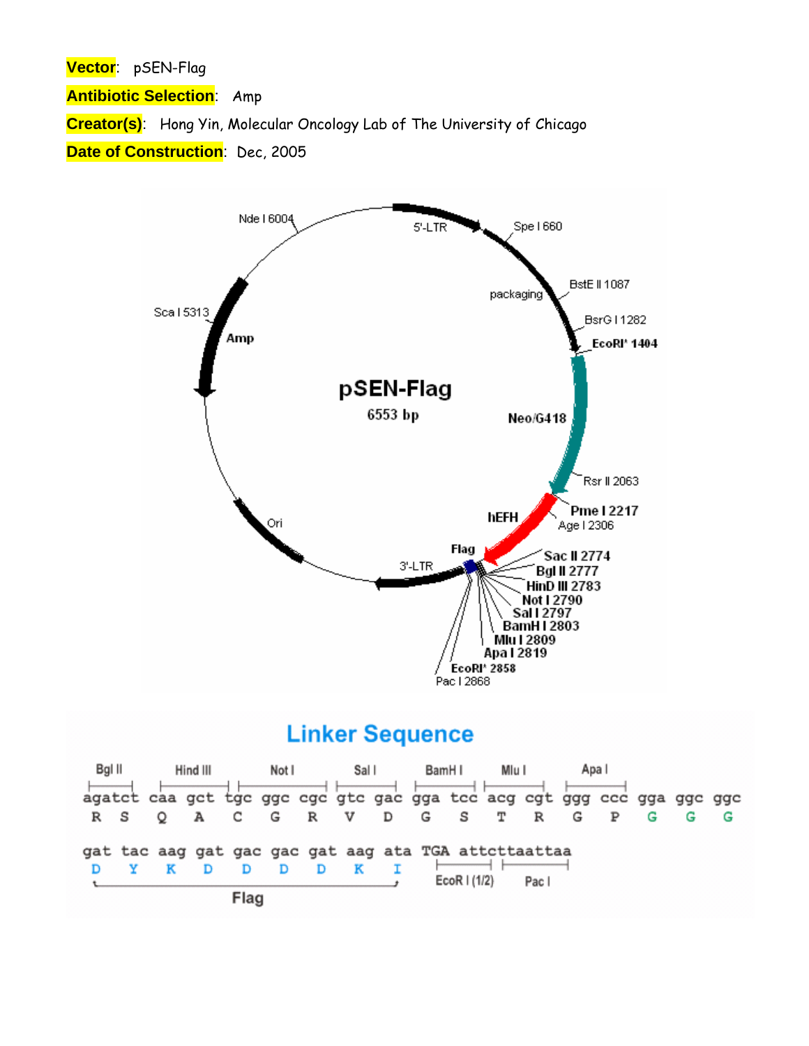**Vector**: pSEN-Flag

**Antibiotic Selection**: Amp

**Creator(s)**: Hong Yin, Molecular Oncology Lab of The University of Chicago

**Date of Construction**: Dec, 2005



## **Linker Sequence**

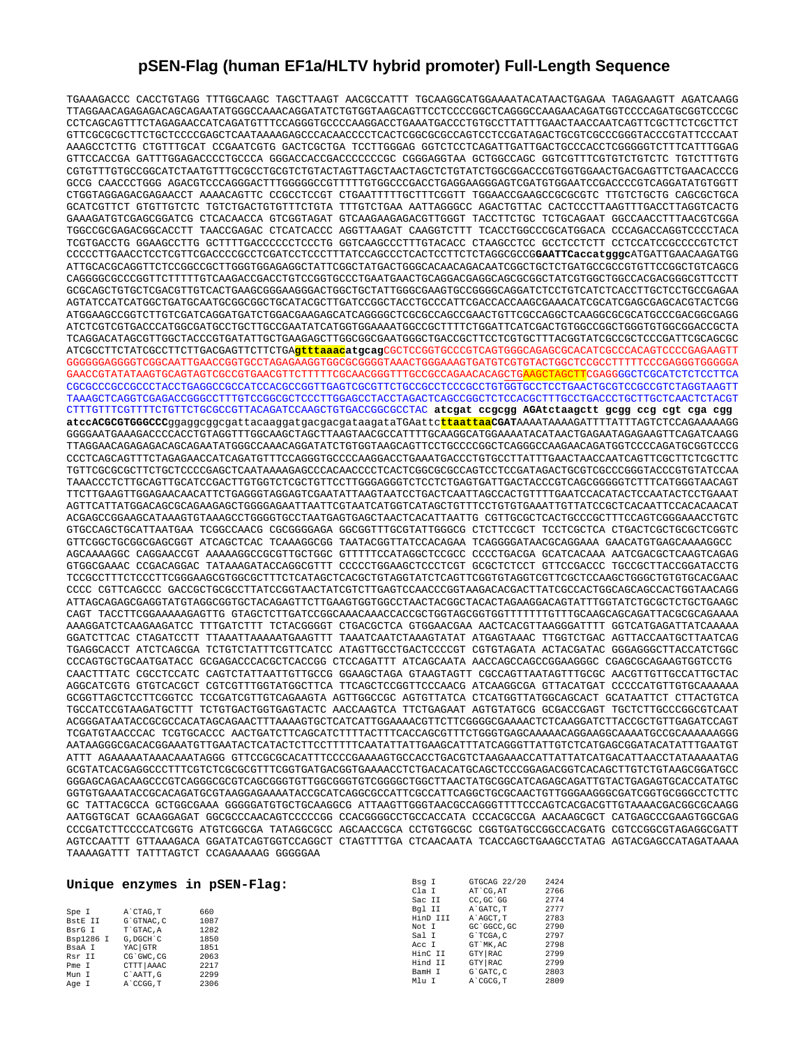## **pSEN-Flag (human EF1a/HLTV hybrid promoter) Full-Length Sequence**

TGAAAGACCC CACCTGTAGG TTTGGCAAGC TAGCTTAAGT AACGCCATTT TGCAAGGCATGGAAAATACATAACTGAGAA TAGAGAAGTT AGATCAAGG TTAGGAACAGAGAGACAGCAGAATATGGGCCAAACAGGATATCTGTGGTAAGCAGTTCCTCCCCGGCTCAGGGCCAAGAACAGATGGTCCCCAGATGCGGTCCCGC CCTCAGCAGTTTCTAGAGAACCATCAGATGTTTCCAGGGTGCCCCAAGGACCTGAAATGACCCTGTGCCTTATTTGAACTAACCAATCAGTTCGCTTCTCGCTTCT GTTCGCGCGCTTCTGCTCCCCGAGCTCAATAAAAGAGCCCACAACCCCTCACTCGGCGCGCCAGTCCTCCGATAGACTGCGTCGCCCGGGTACCCGTATTCCCAAT AAAGCCTCTTG CTGTTTGCAT CCGAATCGTG GACTCGCTGA TCCTTGGGAG GGTCTCCTCAGATTGATTGACTGCCCACCTCGGGGGTCTTTCATTTGGAG GTTCCACCGA GATTTGGAGACCCCTGCCCA GGGACCACCGACCCCCCCGC CGGGAGGTAA GCTGGCCAGC GGTCGTTTCGTGTCTGTCTC TGTCTTTGTG CGTGTTTGTGCCGGCATCTAATGTTTGCGCCTGCGTCTGTACTAGTTAGCTAACTAGCTCTGTATCTGGCGGACCCGTGGTGGAACTGACGAGTTCTGAACACCCG GCCG CAACCCTGGG AGACGTCCCAGGGACTTTGGGGGCCGTTTTTGTGGCCCGACCTGAGGAAGGGAGTCGATGTGGAATCCGACCCCGTCAGGATATGTGGTT CTGGTAGGAGACGAGAACCT AAAACAGTTC CCGCCTCCGT CTGAATTTTTGCTTTCGGTT TGGAACCGAAGCCGCGCGTC TTGTCTGCTG CAGCGCTGCA GCATCGTTCT GTGTTGTCTC TGTCTGACTGTGTTTCTGTA TTTGTCTGAA AATTAGGGCC AGACTGTTAC CACTCCCTTAAGTTTGACCTTAGGTCACTG GAAAGATGTCGAGCGGATCG CTCACAACCA GTCGGTAGAT GTCAAGAAGAGACGTTGGGT TACCTTCTGC TCTGCAGAAT GGCCAACCTTTAACGTCGGA TGGCCGCGAGACGGCACCTT TAACCGAGAC CTCATCACCC AGGTTAAGAT CAAGGTCTTT TCACCTGGCCCGCATGGACA CCCAGACCAGGTCCCCTACA TCGTGACCTG GGAAGCCTTG GCTTTTGACCCCCCTCCCTG GGTCAAGCCCTTTGTACACC CTAAGCCTCC GCCTCCTCTT CCTCCATCCGCCCCGTCTCT CCCCCTTGAACCTCCTCGTTCGACCCCGCCTCGATCCTCCCTTTATCCAGCCCTCACTCCTTCTCTAGGCGCCG**GAATTCaccatgggc**ATGATTGAACAAGATGG ATTGCACGCAGGTTCTCCGGCCGCTTGGGTGGAGAGGCTATTCGGCTATGACTGGGCACAACAGACAATCGGCTGCTCTGATGCCGCCGTGTTCCGGCTGTCAGCG CAGGGGCGCCCGGTTCTTTTTGTCAAGACCGACCTGTCCGGTGCCCTGAATGAACTGCAGGACGAGGCAGCGCGGCTATCGTGGCTGGCCACGACGGGCGTTCCTT GCGCAGCTGTGCTCGACGTTGTCACTGAAGCGGGAAGGGACTGGCTGCTATTGGGCGAAGTGCCGGGGCAGGATCTCCTGTCATCTCACCTTGCTCCTGCCGAGAA AGTATCCATCATGGCTGATGCAATGCGGCGGCTGCATACGCTTGATCCGGCTACCTGCCCATTCGACCACCAAGCGAAACATCGCATCGAGCGAGCACGTACTCGG ATGGAAGCCGGTCTTGTCGATCAGGATGATCTGGACGAAGAGCATCAGGGGCTCGCGCCAGCCGAACTGTTCGCCAGGCTCAAGGCGCGCATGCCCGACGGCGAGG ATCTCGTCGTGACCCATGGCGATGCCTGCTTGCCGAATATCATGGTGGAAAATGGCCGCTTTTCTGGATTCATCGACTGTGGCCGGCTGGGTGTGGCGGACCGCTA TCAGGACATAGCGTTGGCTACCCGTGATATTGCTGAAGAGCTTGGCGGCGAATGGGCTGACCGCTTCCTCGTGCTTTACGGTATCGCCGCTCCCGATTCGCAGCGC ATCGCCTTCTATCGCCTTCTTGACGAGTTCTTCTGA**gtttaaacatgcag**CGCTCCGGTGCCCGTCAGTGGGCAGAGCGCACATCGCCCACAGTCCCCGAGAAGTT GGGGGGAGGGGTCGGCAATTGAACCGGTGCCTAGAGAAGGTGGCGCGGGGTAAACTGGGAAAGTGATGTCGTGTACTGGCTCCGCCTTTTTCCCGAGGGTGGGGGA GAACCGTATATAAGTGCAGTAGTCGCCGTGAACGTTCTTTTTCGCAACGGGTTTGCCGCCAGAACACAGCTGAAGCTAGCTTCGAGGGGCTCGCATCTCTCCTTCA CGCGCCCGCCGCCCTACCTGAGGCCGCCATCCACGCCGGTTGAGTCGCGTTCTGCCGCCTCCCGCCTGTGGTGCCTCCTGAACTGCGTCCGCCGTCTAGGTAAGTT TAAAGCTCAGGTCGAGACCGGGCCTTTGTCCGGCGCTCCCTTGGAGCCTACCTAGACTCAGCCGGCTCTCCACGCTTTGCCTGACCCTGCTTGCTCAACTCTACGT CTTTGTTTCGTTTTCTGTTCTGCGCCGTTACAGATCCAAGCTGTGACCGGCGCCTAC **atcgat ccgcgg AGAtctaagctt gcgg ccg cgt cga cgg atccACGCGTGGGCCC**ggaggcggcgattacaaggatgacgacgataagataTGAattc**ttaattaaCGAT**AAAATAAAAGATTTTATTTAGTCTCCAGAAAAAGG GGGGAATGAAAGACCCCACCTGTAGGTTTGGCAAGCTAGCTTAAGTAACGCCATTTTGCAAGGCATGGAAAATACATAACTGAGAATAGAGAAGTTCAGATCAAGG TTAGGAACAGAGAGACAGCAGAATATGGGCCAAACAGGATATCTGTGGTAAGCAGTTCCTGCCCCGGCTCAGGGCCAAGAACAGATGGTCCCCAGATGCGGTCCCG CCCTCAGCAGTTTCTAGAGAACCATCAGATGTTTCCAGGGTGCCCCAAGGACCTGAAATGACCCTGTGCCTTATTTGAACTAACCAATCAGTTCGCTTCTCGCTTC TGTTCGCGCGCTTCTGCTCCCCGAGCTCAATAAAAGAGCCCACAACCCCTCACTCGGCGCGCCAGTCCTCCGATAGACTGCGTCGCCCGGGTACCCGTGTATCCAA TAAACCCTCTTGCAGTTGCATCCGACTTGTGGTCTCGCTGTTCCTTGGGAGGGTCTCCTCTGAGTGATTGACTACCCGTCAGCGGGGGTCTTTCATGGGTAACAGT TTCTTGAAGTTGGAGAACAACATTCTGAGGGTAGGAGTCGAATATTAAGTAATCCTGACTCAATTAGCCACTGTTTTGAATCCACATACTCCAATACTCCTGAAAT AGTTCATTATGGACAGCGCAGAAGAGCTGGGGAGAATTAATTCGTAATCATGGTCATAGCTGTTTCCTGTGTGAAATTGTTATCCGCTCACAATTCCACACAACAT ACGAGCCGGAAGCATAAAGTGTAAAGCCTGGGGTGCCTAATGAGTGAGCTAACTCACATTAATTG CGTTGCGCTCACTGCCCGCTTTCCAGTCGGGAAACCTGTC GTGCCAGCTGCATTAATGAA TCGGCCAACG CGCGGGGAGA GGCGGTTTGCGTATTGGGCG CTCTTCCGCT TCCTCGCTCA CTGACTCGCTGCGCTCGGTC GTTCGGCTGCGGCGAGCGGT ATCAGCTCAC TCAAAGGCGG TAATACGGTTATCCACAGAA TCAGGGGATAACGCAGGAAA GAACATGTGAGCAAAAGGCC AGCAAAAGGC CAGGAACCGT AAAAAGGCCGCGTTGCTGGC GTTTTTCCATAGGCTCCGCC CCCCTGACGA GCATCACAAA AATCGACGCTCAAGTCAGAG GTGGCGAAAC CCGACAGGAC TATAAAGATACCAGGCGTTT CCCCCTGGAAGCTCCCTCGT GCGCTCTCCT GTTCCGACCC TGCCGCTTACCGGATACCTG TCCGCCTTTCTCCCTTCGGGAAGCGTGGCGCTTTCTCATAGCTCACGCTGTAGGTATCTCAGTTCGGTGTAGGTCGTTCGCTCCAAGCTGGGCTGTGTGCACGAAC CCCC CGTTCAGCCC GACCGCTGCGCCTTATCCGGTAACTATCGTCTTGAGTCCAACCCGGTAAGACACGACTTATCGCCACTGGCAGCAGCCACTGGTAACAGG ATTAGCAGAGCGAGGTATGTAGGCGGTGCTACAGAGTTCTTGAAGTGGTGGCCTAACTACGGCTACACTAGAAGGACAGTATTTGGTATCTGCGCTCTGCTGAAGC CAGT TACCTTCGGAAAAAGAGTTG GTAGCTCTTGATCCGGCAAACAAACCACCGCTGGTAGCGGTGGTTTTTTTGTTTGCAAGCAGCAGATTACGCGCAGAAAA AAAGGATCTCAAGAAGATCC TTTGATCTTT TCTACGGGGT CTGACGCTCA GTGGAACGAA AACTCACGTTAAGGGATTTT GGTCATGAGATTATCAAAAA GGATCTTCAC CTAGATCCTT TTAAATTAAAAATGAAGTTT TAAATCAATCTAAAGTATAT ATGAGTAAAC TTGGTCTGAC AGTTACCAATGCTTAATCAG TGAGGCACCT ATCTCAGCGA TCTGTCTATTTCGTTCATCC ATAGTTGCCTGACTCCCCGT CGTGTAGATA ACTACGATAC GGGAGGGCTTACCATCTGGC CCCAGTGCTGCAATGATACC GCGAGACCCACGCTCACCGG CTCCAGATTT ATCAGCAATA AACCAGCCAGCCGGAAGGGC CGAGCGCAGAAGTGGTCCTG CAACTTTATC CGCCTCCATC CAGTCTATTAATTGTTGCCG GGAAGCTAGA GTAAGTAGTT CGCCAGTTAATAGTTTGCGC AACGTTGTTGCCATTGCTAC AGGCATCGTG GTGTCACGCT CGTCGTTTGGTATGGCTTCA TTCAGCTCCGGTTCCCAACG ATCAAGGCGA GTTACATGAT CCCCCATGTTGTGCAAAAAA GCGGTTAGCTCCTTCGGTCC TCCGATCGTTGTCAGAAGTA AGTTGGCCGC AGTGTTATCA CTCATGGTTATGGCAGCACT GCATAATTCT CTTACTGTCA TGCCATCCGTAAGATGCTTT TCTGTGACTGGTGAGTACTC AACCAAGTCA TTCTGAGAAT AGTGTATGCG GCGACCGAGT TGCTCTTGCCCGGCGTCAAT ACGGGATAATACCGCGCCACATAGCAGAACTTTAAAAGTGCTCATCATTGGAAAACGTTCTTCGGGGCGAAAACTCTCAAGGATCTTACCGCTGTTGAGATCCAGT TCGATGTAACCCAC TCGTGCACCC AACTGATCTTCAGCATCTTTTACTTTCACCAGCGTTTCTGGGTGAGCAAAAACAGGAAGGCAAAATGCCGCAAAAAAGGG AATAAGGGCGACACGGAAATGTTGAATACTCATACTCTTCCTTTTTCAATATTATTGAAGCATTTATCAGGGTTATTGTCTCATGAGCGGATACATATTTGAATGT ATTT AGAAAAATAAACAAATAGGG GTTCCGCGCACATTTCCCCGAAAAGTGCCACCTGACGTCTAAGAAACCATTATTATCATGACATTAACCTATAAAAATAG GCGTATCACGAGGCCCTTTCGTCTCGCGCGTTTCGGTGATGACGGTGAAAACCTCTGACACATGCAGCTCCCGGAGACGGTCACAGCTTGTCTGTAAGCGGATGCC GGGAGCAGACAAGCCCGTCAGGGCGCGTCAGCGGGTGTTGGCGGGTGTCGGGGCTGGCTTAACTATGCGGCATCAGAGCAGATTGTACTGAGAGTGCACCATATGC GGTGTGAAATACCGCACAGATGCGTAAGGAGAAAATACCGCATCAGGCGCCATTCGCCATTCAGGCTGCGCAACTGTTGGGAAGGGCGATCGGTGCGGGCCTCTTC GC TATTACGCCA GCTGGCGAAA GGGGGATGTGCTGCAAGGCG ATTAAGTTGGGTAACGCCAGGGTTTTCCCAGTCACGACGTTGTAAAACGACGGCGCAAGG AATGGTGCAT GCAAGGAGAT GGCGCCCAACAGTCCCCCGG CCACGGGGCCTGCCACCATA CCCACGCCGA AACAAGCGCT CATGAGCCCGAAGTGGCGAG CCCGATCTTCCCCATCGGTG ATGTCGGCGA TATAGGCGCC AGCAACCGCA CCTGTGGCGC CGGTGATGCCGGCCACGATG CGTCCGGCGTAGAGGCGATT AGTCCAATTT GTTAAAGACA GGATATCAGTGGTCCAGGCT CTAGTTTTGA CTCAACAATA TCACCAGCTGAAGCCTATAG AGTACGAGCCATAGATAAAA TAAAAGATTT TATTTAGTCT CCAGAAAAAG GGGGGAA

|           |      | Bsq I                        | GTGCAG 22/20                                   | 2424                                                     |  |
|-----------|------|------------------------------|------------------------------------------------|----------------------------------------------------------|--|
|           |      | Cla I                        | AT CG. AT                                      | 2766                                                     |  |
|           |      | Sac II                       | CC.GC'GG                                       | 2774                                                     |  |
| A CTAG.T  | 660  | Bgl II                       | A GATC. T                                      | 2777                                                     |  |
| G`GTNAC.C | 1087 | HinD III                     | A AGCT.T                                       | 2783                                                     |  |
| T`GTAC.A  | 1282 | Not I                        | GC `GGCC, GC                                   | 2790                                                     |  |
| G.DGCH C  | 1850 | Sal I                        | G`TCGA.C                                       | 2797                                                     |  |
| YAC GTR   | 1851 |                              |                                                | 2798                                                     |  |
| CG`GWC.CG | 2063 |                              |                                                | 2799                                                     |  |
| CTTT AAAC | 2217 |                              |                                                | 2799                                                     |  |
| C`AATT.G  | 2299 |                              |                                                | 2803                                                     |  |
| A CCGG.T  | 2306 |                              |                                                | 2809                                                     |  |
|           |      | Unique enzymes in pSEN-Flag: | Acc I<br>HinC II<br>Hind II<br>BamH I<br>Mlu I | GT MK.AC<br>GTY RAC<br>GTY RAC<br>G`GATC, C<br>A CGCG, T |  |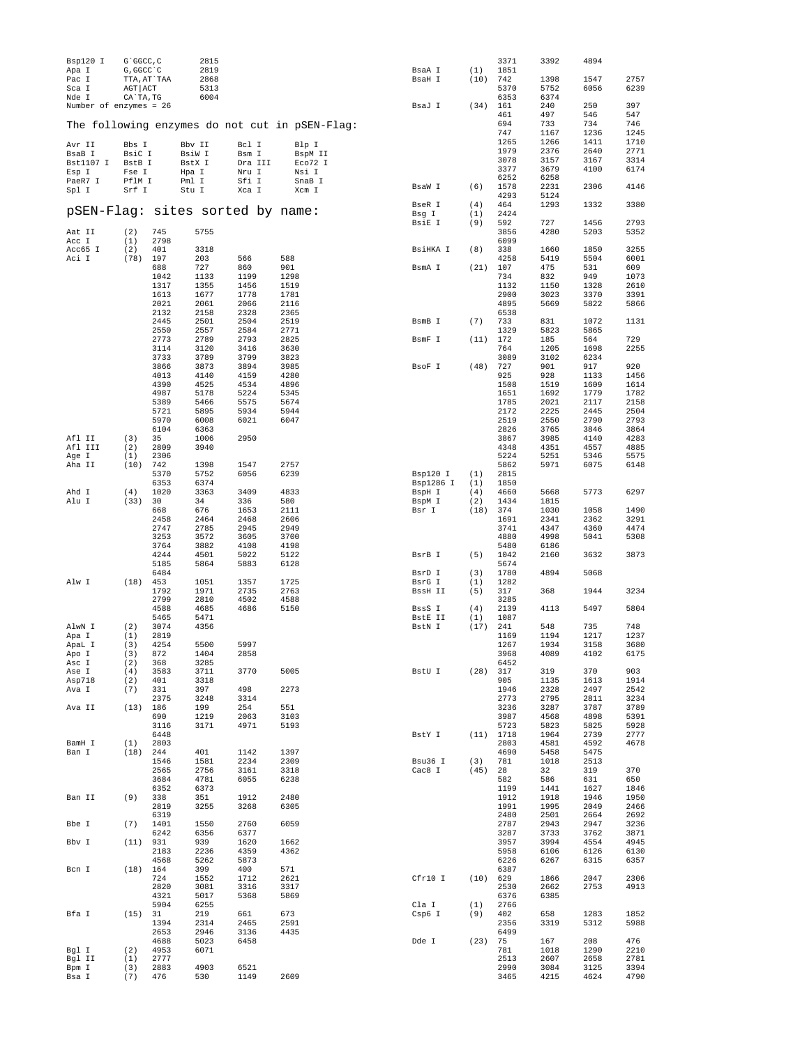| Bsp120 I<br>Apa I                | G`GGCC, C<br>G, GGCC `C                 |              | 2815<br>2819         |                  |                                                | BsaA I            | (1)         | 3371<br>1851        | 3392                 | 4894         |              |
|----------------------------------|-----------------------------------------|--------------|----------------------|------------------|------------------------------------------------|-------------------|-------------|---------------------|----------------------|--------------|--------------|
| Pac I<br>Sca I<br>Nde I          | TTA, AT`TAA<br>$AGT$ $ACT$<br>CA`TA, TG |              | 2868<br>5313<br>6004 |                  |                                                | BsaH I            | (10)        | 742<br>5370<br>6353 | 1398<br>5752<br>6374 | 1547<br>6056 | 2757<br>6239 |
| Number of enzymes = 26           |                                         |              |                      |                  |                                                | BsaJ I            | (34)        | 161                 | 240                  | 250          | 397          |
|                                  |                                         |              |                      |                  |                                                |                   |             | 461                 | 497                  | 546          | 547          |
|                                  |                                         |              |                      |                  | The following enzymes do not cut in pSEN-Flag: |                   |             | 694                 | 733                  | 734          | 746          |
|                                  |                                         |              |                      |                  |                                                |                   |             | 747<br>1265         | 1167<br>1266         | 1236<br>1411 | 1245<br>1710 |
| Avr II                           | Bbs I                                   |              | Bbv II               | Bcl I            | Blp I                                          |                   |             | 1979                | 2376                 | 2640         | 2771         |
| BsaB I<br>Bst1107 I              | BsiC I<br>BstB I                        |              | BsiW I<br>BstX I     | Bsm I<br>Dra III | BspM II<br>Eco72 I                             |                   |             | 3078                | 3157                 | 3167         | 3314         |
| Esp I                            | Fse I                                   |              | Hpa I                | Nru I            | Nsi I                                          |                   |             | 3377                | 3679                 | 4100         | 6174         |
| PaeR7 I                          | PflM I                                  |              | Pml I                | Sfi I            | SnaB I                                         |                   |             | 6252                | 6258                 |              |              |
| Spl I                            | Srf I                                   |              | Stu I                | Xca I            | Xcm I                                          | BsaW I            | (6)         | 1578                | 2231                 | 2306         | 4146         |
|                                  |                                         |              |                      |                  |                                                | BseR I            | (4)         | 4293<br>464         | 5124<br>1293         | 1332         | 3380         |
| pSEN-Flag: sites sorted by name: |                                         |              |                      |                  |                                                | Bsg I             | (1)         | 2424                |                      |              |              |
|                                  |                                         |              |                      |                  |                                                | BsiE I            | (9)         | 592                 | 727                  | 1456         | 2793         |
| Aat II                           | (2)                                     | 745          | 5755                 |                  |                                                |                   |             | 3856                | 4280                 | 5203         | 5352         |
| Acc I                            | (1)                                     | 2798         |                      |                  |                                                |                   |             | 6099                |                      |              |              |
| Acc65 I<br>Aci I                 | (2)<br>(78)                             | 401<br>197   | 3318<br>203          | 566              | 588                                            | BsiHKA I          | (8)         | 338<br>4258         | 1660<br>5419         | 1850<br>5504 | 3255<br>6001 |
|                                  |                                         | 688          | 727                  | 860              | 901                                            | BsmA I            | (21)        | 107                 | 475                  | 531          | 609          |
|                                  |                                         | 1042         | 1133                 | 1199             | 1298                                           |                   |             | 734                 | 832                  | 949          | 1073         |
|                                  |                                         | 1317         | 1355                 | 1456             | 1519                                           |                   |             | 1132                | 1150                 | 1328         | 2610         |
|                                  |                                         | 1613<br>2021 | 1677<br>2061         | 1778<br>2066     | 1781<br>2116                                   |                   |             | 2900<br>4895        | 3023<br>5669         | 3370<br>5822 | 3391<br>5866 |
|                                  |                                         | 2132         | 2158                 | 2328             | 2365                                           |                   |             | 6538                |                      |              |              |
|                                  |                                         | 2445         | 2501                 | 2504             | 2519                                           | BsmB I            | (7)         | 733                 | 831                  | 1072         | 1131         |
|                                  |                                         | 2550         | 2557                 | 2584             | 2771                                           |                   |             | 1329                | 5823                 | 5865         |              |
|                                  |                                         | 2773         | 2789                 | 2793             | 2825                                           | BsmF I            | (11)        | 172                 | 185                  | 564          | 729          |
|                                  |                                         | 3114<br>3733 | 3120<br>3789         | 3416<br>3799     | 3630<br>3823                                   |                   |             | 764<br>3089         | 1205<br>3102         | 1698<br>6234 | 2255         |
|                                  |                                         | 3866         | 3873                 | 3894             | 3985                                           | BsoF I            | (48)        | 727                 | 901                  | 917          | 920          |
|                                  |                                         | 4013         | 4140                 | 4159             | 4280                                           |                   |             | 925                 | 928                  | 1133         | 1456         |
|                                  |                                         | 4390         | 4525                 | 4534             | 4896                                           |                   |             | 1508                | 1519                 | 1609         | 1614         |
|                                  |                                         | 4987<br>5389 | 5178<br>5466         | 5224<br>5575     | 5345<br>5674                                   |                   |             | 1651<br>1785        | 1692<br>2021         | 1779<br>2117 | 1782<br>2158 |
|                                  |                                         | 5721         | 5895                 | 5934             | 5944                                           |                   |             | 2172                | 2225                 | 2445         | 2504         |
|                                  |                                         | 5970         | 6008                 | 6021             | 6047                                           |                   |             | 2519                | 2550                 | 2790         | 2793         |
|                                  |                                         | 6104         | 6363                 |                  |                                                |                   |             | 2826                | 3765                 | 3846         | 3864         |
| Afl II                           | (3)                                     | 35           | 1006                 | 2950             |                                                |                   |             | 3867                | 3985                 | 4140         | 4283         |
| Afl III<br>Age I                 | (2)<br>(1)                              | 2809<br>2306 | 3940                 |                  |                                                |                   |             | 4348<br>5224        | 4351<br>5251         | 4557<br>5346 | 4885<br>5575 |
| Aha II                           | (10)                                    | 742          | 1398                 | 1547             | 2757                                           |                   |             | 5862                | 5971                 | 6075         | 6148         |
|                                  |                                         | 5370         | 5752                 | 6056             | 6239                                           | Bsp120 I          | (1)         | 2815                |                      |              |              |
|                                  |                                         | 6353         | 6374                 |                  |                                                | Bsp1286 I         | (1)         | 1850                |                      |              |              |
| Ahd I<br>Alu I                   | (4)<br>(33)                             | 1020<br>30   | 3363<br>34           | 3409<br>336      | 4833<br>580                                    | BspH I<br>BspM I  | (4)<br>(2)  | 4660<br>1434        | 5668<br>1815         | 5773         | 6297         |
|                                  |                                         | 668          | 676                  | 1653             | 2111                                           | Bsr I             | (18)        | 374                 | 1030                 | 1058         | 1490         |
|                                  |                                         | 2458         | 2464                 | 2468             | 2606                                           |                   |             | 1691                | 2341                 | 2362         | 3291         |
|                                  |                                         | 2747         | 2785                 | 2945             | 2949                                           |                   |             | 3741                | 4347                 | 4360         | 4474         |
|                                  |                                         | 3253         | 3572                 | 3605             | 3700                                           |                   |             | 4880                | 4998                 | 5041         | 5308         |
|                                  |                                         | 3764<br>4244 | 3882<br>4501         | 4108<br>5022     | 4198<br>5122                                   | BsrB I            | (5)         | 5480<br>1042        | 6186<br>2160         | 3632         | 3873         |
|                                  |                                         | 5185         | 5864                 | 5883             | 6128                                           |                   |             | 5674                |                      |              |              |
|                                  |                                         | 6484         |                      |                  |                                                | BsrD I            | (3)         | 1780                | 4894                 | 5068         |              |
| Alw I                            | $(18)$ 453                              | 1792         | 1051<br>1971         | 1357<br>2735     | 1725<br>2763                                   | BsrG I<br>BssH II | (1)<br>(5)  | 1282<br>317         | 368                  | 1944         | 3234         |
|                                  |                                         | 2799         | 2810                 | 4502             | 4588                                           |                   |             | 3285                |                      |              |              |
|                                  |                                         | 4588         | 4685                 | 4686             | 5150                                           | BssS I            | (4)         | 2139                | 4113                 | 5497         | 5804         |
|                                  |                                         | 5465         | 5471                 |                  |                                                | BstE II           | (1)         | 1087                |                      |              |              |
| AlwN I                           | (2)                                     | 3074<br>2819 | 4356                 |                  |                                                | BstN I            | (17)        | 241<br>1169         | 548<br>1194          | 735<br>1217  | 748<br>1237  |
| Apa I<br>драц г                  | (1)<br>(3)                              | 4254         | 5500                 | 5997             |                                                |                   |             | 1267                | 1934                 | 3158         | 3680         |
| Apo I                            | (3)                                     | 872          | 1404                 | 2858             |                                                |                   |             | 3968                | 4089                 | 4102         | 6175         |
| Asc I                            | (2)                                     | 368          | 3285                 |                  |                                                |                   |             | 6452                |                      |              |              |
| Ase I                            | $(4)$ 3583                              |              | 3711                 | 3770             | 5005                                           | BstU I            | $(28)$ 317  |                     | 319                  | 370          | 903          |
| Asp718                           | (2)<br>(7)                              | 401<br>331   | 3318<br>397          | 498              | 2273                                           |                   |             | 905<br>1946         | 1135<br>2328         | 1613<br>2497 | 1914<br>2542 |
| Ava I                            |                                         | 2375         | 3248                 | 3314             |                                                |                   |             | 2773                | 2795                 | 2811         | 3234         |
| Ava II                           | $(13)$ 186                              |              | 199                  | 254              | 551                                            |                   |             | 3236                | 3287                 | 3787         | 3789         |
|                                  |                                         | 690          | 1219                 | 2063             | 3103                                           |                   |             | 3987                | 4568                 | 4898         | 5391         |
|                                  |                                         | 3116         | 3171                 | 4971             | 5193                                           | BstY I            |             | 5723                | 5823                 | 5825         | 5928         |
| BamH I                           | $(1)$ 2803                              | 6448         |                      |                  |                                                |                   | $(11)$ 1718 | 2803                | 1964<br>4581         | 2739<br>4592 | 2777<br>4678 |
| Ban I                            | $(18)$ 244                              |              | 401                  | 1142             | 1397                                           |                   |             | 4690                | 5458                 | 5475         |              |
|                                  |                                         | 1546         | 1581                 | 2234             | 2309                                           | Bsu36 I           | (3)         | 781                 | 1018                 | 2513         |              |
|                                  |                                         | 2565         | 2756                 | 3161             | 3318                                           | Cac8 I            | $(45)$ 28   |                     | 32                   | 319          | 370          |
|                                  |                                         | 3684<br>6352 | 4781<br>6373         | 6055             | 6238                                           |                   |             | 582<br>1199         | 586<br>1441          | 631<br>1627  | 650<br>1846  |
| Ban II                           | (9)                                     | 338          | 351                  | 1912             | 2480                                           |                   |             | 1912                | 1918                 | 1946         | 1950         |
|                                  |                                         | 2819         | 3255                 | 3268             | 6305                                           |                   |             | 1991                | 1995                 | 2049         | 2466         |
|                                  |                                         | 6319         |                      |                  |                                                |                   |             | 2480                | 2501                 | 2664         | 2692         |
| Bbe I                            | $(7)$ 1401                              |              | 1550                 | 2760             | 6059                                           |                   |             | 2787                | 2943                 | 2947         | 3236         |
| Bbv I                            | $(11)$ 931                              | 6242         | 6356<br>939          | 6377<br>1620     | 1662                                           |                   |             | 3287<br>3957        | 3733<br>3994         | 3762<br>4554 | 3871<br>4945 |
|                                  |                                         | 2183         | 2236                 | 4359             | 4362                                           |                   |             | 5958                | 6106                 | 6126         | 6130         |
|                                  |                                         | 4568         | 5262                 | 5873             |                                                |                   |             | 6226                | 6267                 | 6315         | 6357         |
| Bcn I                            | $(18)$ 164                              |              | 399                  | 400              | 571                                            |                   |             | 6387                |                      |              |              |
|                                  |                                         | 724          | 1552                 | 1712             | 2621                                           | Cfr10 I           | $(10)$ 629  |                     | 1866                 | 2047         | 2306         |
|                                  |                                         | 2820<br>4321 | 3081<br>5017         | 3316<br>5368     | 3317<br>5869                                   |                   |             | 2530<br>6376        | 2662<br>6385         | 2753         | 4913         |
|                                  |                                         | 5904         | 6255                 |                  |                                                | Cla I             | (1)         | 2766                |                      |              |              |
| Bfa I                            | $(15)$ 31                               |              | 219                  | 661              | 673                                            | Csp6 I            | (9)         | 402                 | 658                  | 1283         | 1852         |
|                                  |                                         | 1394         | 2314                 | 2465             | 2591                                           |                   |             | 2356                | 3319                 | 5312         | 5988         |
|                                  |                                         | 2653<br>4688 | 2946<br>5023         | 3136<br>6458     | 4435                                           | Dde I             | $(23)$ 75   | 6499                | 167                  | 208          | 476          |
| Bgl I                            | $(2)$ 4953                              |              | 6071                 |                  |                                                |                   |             | 781                 | 1018                 | 1290         | 2210         |
| Bgl II                           | $(1)$ 2777                              |              |                      |                  |                                                |                   |             | 2513                | 2607                 | 2658         | 2781         |
| Bpm I                            | $(3)$ 2883                              |              | 4903                 | 6521             |                                                |                   |             | 2990                | 3084                 | 3125         | 3394         |
| Bsa I                            | (7)                                     | 476          | 530                  | 1149             | 2609                                           |                   |             | 3465                | 4215                 | 4624         | 4790         |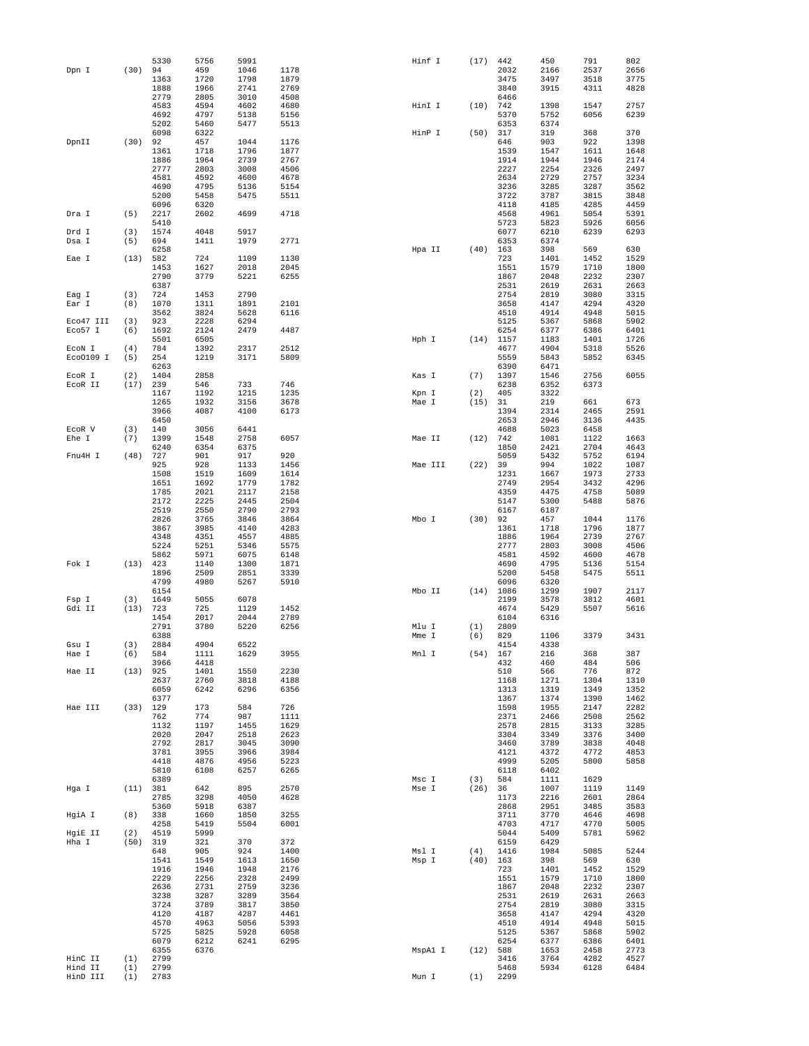|           |      | 5330 | 5756 | 5991 |      | Hinf I |         | (17)       | 442         | 450  | 791  | 802  |
|-----------|------|------|------|------|------|--------|---------|------------|-------------|------|------|------|
| Dpn I     | (30) | 94   | 459  | 1046 | 1178 |        |         |            | 2032        | 2166 | 2537 | 2656 |
|           |      | 1363 | 1720 | 1798 | 1879 |        |         |            | 3475        | 3497 | 3518 | 3775 |
|           |      | 1888 | 1966 | 2741 | 2769 |        |         |            | 3840        | 3915 | 4311 | 4828 |
|           |      | 2779 | 2805 | 3010 | 4508 |        |         |            | 6466        |      |      |      |
|           |      | 4583 | 4594 | 4602 | 4680 | HinI I |         | (10)       | 742         | 1398 | 1547 | 2757 |
|           |      | 4692 | 4797 | 5138 | 5156 |        |         |            | 5370        | 5752 | 6056 | 6239 |
|           |      | 5202 | 5460 | 5477 | 5513 |        |         |            | 6353        | 6374 |      |      |
|           |      | 6098 | 6322 |      |      | HinP I |         | $(50)$ 317 |             | 319  | 368  | 370  |
| DpnII     | (30) | 92   | 457  | 1044 | 1176 |        |         |            | 646         | 903  | 922  | 1398 |
|           |      | 1361 | 1718 | 1796 | 1877 |        |         |            | 1539        | 1547 | 1611 | 1648 |
|           |      | 1886 | 1964 | 2739 | 2767 |        |         |            | 1914        | 1944 | 1946 | 2174 |
|           |      | 2777 | 2803 | 3008 | 4506 |        |         |            | 2227        | 2254 | 2326 | 2497 |
|           |      | 4581 | 4592 | 4600 | 4678 |        |         |            | 2634        | 2729 | 2757 | 3234 |
|           |      | 4690 | 4795 | 5136 | 5154 |        |         |            | 3236        | 3285 | 3287 | 3562 |
|           |      | 5200 | 5458 | 5475 | 5511 |        |         |            | 3722        | 3787 | 3815 | 3848 |
|           |      | 6096 | 6320 |      |      |        |         |            | 4118        | 4185 | 4285 | 4459 |
| Dra I     | (5)  | 2217 | 2602 | 4699 | 4718 |        |         |            | 4568        | 4961 | 5054 | 5391 |
|           |      | 5410 |      |      |      |        |         |            | 5723        | 5823 | 5926 | 6056 |
| Drd I     | (3)  | 1574 | 4048 | 5917 |      |        |         |            | 6077        | 6210 | 6239 | 6293 |
| Dsa I     | (5)  | 694  | 1411 | 1979 | 2771 |        |         |            | 6353        | 6374 |      |      |
|           |      | 6258 |      |      |      | Hpa II |         | (40)       | 163         | 398  | 569  | 630  |
| Eae I     | (13) | 582  | 724  | 1109 | 1130 |        |         |            | 723         | 1401 | 1452 | 1529 |
|           |      | 1453 | 1627 | 2018 | 2045 |        |         |            | 1551        | 1579 | 1710 | 1800 |
|           |      | 2790 | 3779 | 5221 | 6255 |        |         |            | 1867        | 2048 | 2232 | 2307 |
|           |      | 6387 |      |      |      |        |         |            | 2531        | 2619 | 2631 | 2663 |
| Eag I     | (3)  | 724  | 1453 | 2790 |      |        |         |            | 2754        | 2819 | 3080 | 3315 |
| Ear I     | (8)  | 1070 | 1311 | 1891 | 2101 |        |         |            | 3658        | 4147 | 4294 | 4320 |
|           |      | 3562 | 3824 | 5628 | 6116 |        |         |            | 4510        | 4914 | 4948 | 5015 |
| Eco47 III | (3)  | 923  | 2228 | 6294 |      |        |         |            | 5125        | 5367 | 5868 | 5902 |
| Eco57 I   | (6)  | 1692 | 2124 | 2479 | 4487 |        |         |            | 6254        | 6377 | 6386 | 6401 |
|           |      | 5501 | 6505 |      |      | Hph I  |         |            | $(14)$ 1157 | 1183 | 1401 | 1726 |
| ECON I    | (4)  | 784  | 1392 | 2317 | 2512 |        |         |            | 4677        | 4904 | 5318 | 5526 |
| Eco0109 I | (5)  | 254  | 1219 | 3171 | 5809 |        |         |            | 5559        | 5843 | 5852 | 6345 |
|           |      | 6263 |      |      |      |        |         |            | 6390        | 6471 |      |      |
| ECOR I    | (2)  | 1404 | 2858 |      |      | Kas I  |         | (7)        | 1397        | 1546 | 2756 | 6055 |
| ECOR II   | (17) | 239  | 546  | 733  | 746  |        |         |            | 6238        | 6352 | 6373 |      |
|           |      | 1167 | 1192 | 1215 | 1235 | Kpn I  |         | (2)        | 405         | 3322 |      |      |
|           |      | 1265 | 1932 | 3156 | 3678 | Mae I  |         | (15)       | 31          | 219  | 661  | 673  |
|           |      | 3966 | 4087 | 4100 | 6173 |        |         |            | 1394        | 2314 | 2465 | 2591 |
|           |      | 6450 |      |      |      |        |         |            | 2653        | 2946 | 3136 | 4435 |
| ECOR V    | (3)  | 140  | 3056 | 6441 |      |        |         |            | 4688        | 5023 | 6458 |      |
| Ehe I     | (7)  | 1399 | 1548 | 2758 | 6057 | Mae II |         | (12)       | 742         | 1081 | 1122 | 1663 |
|           |      | 6240 | 6354 | 6375 |      |        |         |            | 1850        | 2421 | 2704 | 4643 |
| Fnu4H I   | (48) | 727  | 901  | 917  | 920  |        |         |            | 5059        | 5432 | 5752 | 6194 |
|           |      | 925  | 928  | 1133 | 1456 |        | Mae III | (22)       | 39          | 994  | 1022 | 1087 |
|           |      | 1508 | 1519 | 1609 | 1614 |        |         |            | 1231        | 1667 | 1973 | 2733 |
|           |      | 1651 | 1692 | 1779 | 1782 |        |         |            | 2749        | 2954 | 3432 | 4296 |
|           |      | 1785 | 2021 | 2117 | 2158 |        |         |            | 4359        | 4475 | 4758 | 5089 |
|           |      | 2172 | 2225 | 2445 | 2504 |        |         |            | 5147        | 5300 | 5488 | 5876 |
|           |      | 2519 | 2550 | 2790 | 2793 |        |         |            | 6167        | 6187 |      |      |
|           |      | 2826 | 3765 | 3846 | 3864 | Mbo I  |         | (30)       | 92          | 457  | 1044 | 1176 |
|           |      | 3867 | 3985 | 4140 | 4283 |        |         |            | 1361        | 1718 | 1796 | 1877 |
|           |      | 4348 | 4351 | 4557 | 4885 |        |         |            | 1886        | 1964 | 2739 | 2767 |
|           |      | 5224 | 5251 | 5346 | 5575 |        |         |            | 2777        | 2803 | 3008 | 4506 |
|           |      | 5862 | 5971 | 6075 | 6148 |        |         |            | 4581        | 4592 | 4600 | 4678 |
| Fok I     | (13) | 423  | 1140 | 1300 | 1871 |        |         |            | 4690        | 4795 | 5136 | 5154 |
|           |      | 1896 | 2509 | 2851 | 3339 |        |         |            | 5200        | 5458 | 5475 | 5511 |
|           |      | 4799 | 4980 | 5267 | 5910 |        |         |            | 6096        | 6320 |      |      |
|           |      | 6154 |      |      |      | Mbo II |         |            | $(14)$ 1086 | 1299 | 1907 | 2117 |
| Fsp I     | (3)  | 1649 | 5055 | 6078 |      |        |         |            | 2199        | 3578 | 3812 | 4601 |
| Gdi II    | (13) | 723  | 725  | 1129 | 1452 |        |         |            | 4674        | 5429 | 5507 | 5616 |
|           |      | 1454 | 2017 | 2044 | 2789 |        |         |            | 6104        | 6316 |      |      |
|           |      | 2791 | 3780 | 5220 | 6256 | Mlu I  |         | (1)        | 2809        |      |      |      |
|           |      | 6388 |      |      |      | Mme I  |         | (6)        | 829         | 1106 | 3379 | 3431 |
| Gsu I     | (3)  | 2884 | 4904 | 6522 |      |        |         |            | 4154        | 4338 |      |      |
| Hae I     | (6)  | 584  | 1111 | 1629 | 3955 | Mnl I  |         | (54)       | 167         | 216  | 368  | 387  |
|           |      | 3966 | 4418 |      |      |        |         |            | 432         | 460  | 484  | 506  |
| Hae II    | (13) | 925  | 1401 | 1550 | 2230 |        |         |            | 510         | 566  | 776  | 872  |
|           |      | 2637 | 2760 | 3818 | 4188 |        |         |            | 1168        | 1271 | 1304 | 1310 |
|           |      | 6059 | 6242 | 6296 | 6356 |        |         |            | 1313        | 1319 | 1349 | 1352 |
|           |      | 6377 |      |      |      |        |         |            | 1367        | 1374 | 1390 | 1462 |
| Hae III   | (33) | 129  | 173  | 584  | 726  |        |         |            | 1598        | 1955 | 2147 | 2282 |
|           |      | 762  | 774  | 987  | 1111 |        |         |            | 2371        | 2466 | 2508 | 2562 |
|           |      | 1132 | 1197 | 1455 | 1629 |        |         |            | 2578        | 2815 | 3133 | 3285 |
|           |      | 2020 | 2047 | 2518 | 2623 |        |         |            | 3304        | 3349 | 3376 | 3400 |
|           |      | 2792 | 2817 | 3045 | 3090 |        |         |            | 3460        | 3789 | 3838 | 4048 |
|           |      | 3781 | 3955 | 3966 | 3984 |        |         |            | 4121        | 4372 | 4772 | 4853 |
|           |      | 4418 | 4876 | 4956 | 5223 |        |         |            | 4999        | 5205 | 5800 | 5858 |
|           |      | 5810 | 6108 | 6257 | 6265 |        |         |            | 6118        | 6402 |      |      |
|           |      | 6389 |      |      |      | Msc I  |         | (3)        | 584         | 1111 | 1629 |      |
| Hga I     | (11) | 381  | 642  | 895  | 2570 | Mse I  |         | (26)       | 36          | 1007 | 1119 | 1149 |
|           |      | 2785 | 3298 | 4050 | 4628 |        |         |            | 1173        | 2216 | 2601 | 2864 |
|           |      | 5360 | 5918 | 6387 |      |        |         |            | 2868        | 2951 | 3485 | 3583 |
| HgiA I    | (8)  | 338  | 1660 | 1850 | 3255 |        |         |            | 3711        | 3770 | 4646 | 4698 |
|           |      | 4258 | 5419 | 5504 | 6001 |        |         |            | 4703        | 4717 | 4770 | 5005 |
| HgiE II   | (2)  | 4519 | 5999 |      |      |        |         |            | 5044        | 5409 | 5781 | 5962 |
| Hha I     | (50) | 319  | 321  | 370  | 372  |        |         |            | 6159        | 6429 |      |      |
|           |      | 648  | 905  | 924  | 1400 | Msl I  |         | (4)        | 1416        | 1984 | 5085 | 5244 |
|           |      | 1541 | 1549 | 1613 | 1650 | Msp I  |         | $(40)$ 163 |             | 398  | 569  | 630  |
|           |      | 1916 | 1946 | 1948 | 2176 |        |         |            | 723         | 1401 | 1452 | 1529 |
|           |      | 2229 | 2256 | 2328 | 2499 |        |         |            | 1551        | 1579 | 1710 | 1800 |
|           |      | 2636 | 2731 | 2759 | 3236 |        |         |            | 1867        | 2048 | 2232 | 2307 |
|           |      | 3238 | 3287 | 3289 | 3564 |        |         |            | 2531        | 2619 | 2631 | 2663 |
|           |      | 3724 | 3789 | 3817 | 3850 |        |         |            | 2754        | 2819 | 3080 | 3315 |
|           |      | 4120 | 4187 | 4287 | 4461 |        |         |            | 3658        | 4147 | 4294 | 4320 |
|           |      | 4570 | 4963 | 5056 | 5393 |        |         |            | 4510        | 4914 | 4948 | 5015 |
|           |      | 5725 | 5825 | 5928 | 6058 |        |         |            | 5125        | 5367 | 5868 | 5902 |
|           |      | 6079 | 6212 | 6241 | 6295 |        |         |            | 6254        | 6377 | 6386 | 6401 |
|           |      | 6355 | 6376 |      |      |        | MspA1 I | (12)       | 588         | 1653 | 2458 | 2773 |
| HinC II   | (1)  | 2799 |      |      |      |        |         |            | 3416        | 3764 | 4282 | 4527 |
| Hind II   | (1)  | 2799 |      |      |      |        |         |            | 5468        | 5934 | 6128 | 6484 |
| HinD III  | (1)  | 2783 |      |      |      | Mun I  |         | (1)        | 2299        |      |      |      |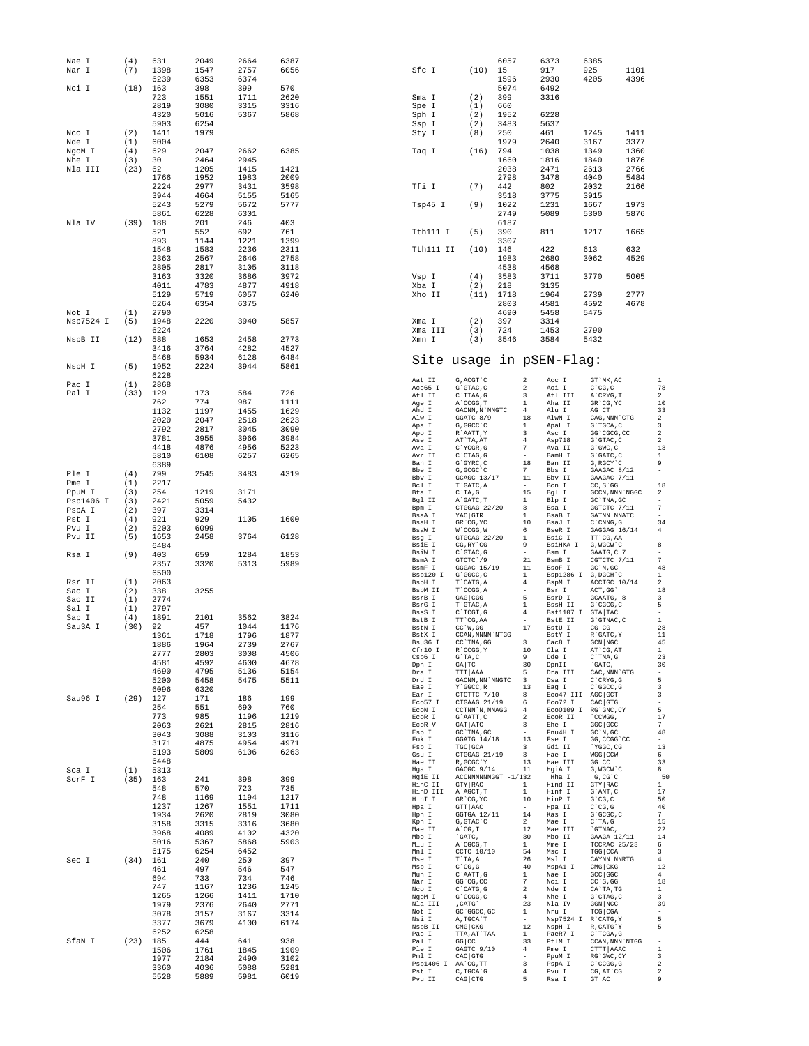| Nae I               | (4)<br>(7)  | 631          | 2049         | 2664<br>2757 | 6387<br>6056 |                    | (10)                                                                                                 | 6057        |                               | 6373<br>917          | 6385                                                                                                                         | 1101         |                                |
|---------------------|-------------|--------------|--------------|--------------|--------------|--------------------|------------------------------------------------------------------------------------------------------|-------------|-------------------------------|----------------------|------------------------------------------------------------------------------------------------------------------------------|--------------|--------------------------------|
| Nar I               |             | 1398<br>6239 | 1547<br>6353 | 6374         |              | Sfc I              |                                                                                                      | 15<br>1596  |                               | 2930                 | 925<br>4205                                                                                                                  | 4396         |                                |
| Nci I               | (18)        | 163          | 398          | 399          | 570          |                    |                                                                                                      | 5074        |                               | 6492                 |                                                                                                                              |              |                                |
|                     |             | 723          | 1551         | 1711         | 2620         | Sma I              | (2)                                                                                                  | 399         |                               | 3316                 |                                                                                                                              |              |                                |
|                     |             | 2819         | 3080         | 3315         | 3316         | Spe I              | (1)                                                                                                  | 660         |                               |                      |                                                                                                                              |              |                                |
|                     |             | 4320         | 5016         | 5367         | 5868         | Sph I              | (2)                                                                                                  | 1952        |                               | 6228                 |                                                                                                                              |              |                                |
| Nco I               | (2)         | 5903<br>1411 | 6254<br>1979 |              |              | Ssp I<br>Sty I     | (2)<br>(8)                                                                                           | 3483<br>250 |                               | 5637<br>461          | 1245                                                                                                                         | 1411         |                                |
| Nde I               | (1)         | 6004         |              |              |              |                    |                                                                                                      | 1979        |                               | 2640                 | 3167                                                                                                                         | 3377         |                                |
| NgoM I              | (4)         | 629          | 2047         | 2662         | 6385         | Taq I              | (16)                                                                                                 | 794         |                               | 1038                 | 1349                                                                                                                         | 1360         |                                |
| Nhe I               | (3)         | 30           | 2464         | 2945         |              |                    |                                                                                                      | 1660        |                               | 1816                 | 1840                                                                                                                         | 1876         |                                |
| Nla III             | (23)        | 62           | 1205         | 1415         | 1421         |                    |                                                                                                      | 2038        |                               | 2471                 | 2613                                                                                                                         | 2766         |                                |
|                     |             | 1766<br>2224 | 1952<br>2977 | 1983<br>3431 | 2009<br>3598 | Tfi I              | (7)                                                                                                  | 2798<br>442 |                               | 3478<br>802          | 4040<br>2032                                                                                                                 | 5484<br>2166 |                                |
|                     |             | 3944         | 4664         | 5155         | 5165         |                    |                                                                                                      | 3518        |                               | 3775                 | 3915                                                                                                                         |              |                                |
|                     |             | 5243         | 5279         | 5672         | 5777         | Tsp45 I            | (9)                                                                                                  | 1022        |                               | 1231                 | 1667                                                                                                                         | 1973         |                                |
|                     |             | 5861         | 6228         | 6301         |              |                    |                                                                                                      | 2749        |                               | 5089                 | 5300                                                                                                                         | 5876         |                                |
| Nla IV              | (39)        | 188          | 201          | 246          | 403          |                    |                                                                                                      | 6187        |                               |                      |                                                                                                                              |              |                                |
|                     |             | 521<br>893   | 552<br>1144  | 692<br>1221  | 761<br>1399  | Tth111 I           | (5)                                                                                                  | 390<br>3307 |                               | 811                  | 1217                                                                                                                         | 1665         |                                |
|                     |             | 1548         | 1583         | 2236         | 2311         | Tth111 II          | (10)                                                                                                 | 146         |                               | 422                  | 613                                                                                                                          | 632          |                                |
|                     |             | 2363         | 2567         | 2646         | 2758         |                    |                                                                                                      | 1983        |                               | 2680                 | 3062                                                                                                                         | 4529         |                                |
|                     |             | 2805         | 2817         | 3105         | 3118         |                    |                                                                                                      | 4538        |                               | 4568                 |                                                                                                                              |              |                                |
|                     |             | 3163         | 3320         | 3686         | 3972         | Vsp I              | (4)                                                                                                  | 3583        |                               | 3711                 | 3770                                                                                                                         | 5005         |                                |
|                     |             | 4011<br>5129 | 4783<br>5719 | 4877<br>6057 | 4918<br>6240 | Xba I<br>Xho II    | (2)<br>(11)                                                                                          | 218<br>1718 |                               | 3135<br>1964         | 2739                                                                                                                         | 2777         |                                |
|                     |             | 6264         | 6354         | 6375         |              |                    |                                                                                                      | 2803        |                               | 4581                 | 4592                                                                                                                         | 4678         |                                |
| Not I               | (1)         | 2790         |              |              |              |                    |                                                                                                      | 4690        |                               | 5458                 | 5475                                                                                                                         |              |                                |
| Nsp7524 I           | (5)         | 1948         | 2220         | 3940         | 5857         | Xma I              | (2)                                                                                                  | 397         |                               | 3314                 |                                                                                                                              |              |                                |
| NspB II             |             | 6224         |              |              |              | Xma III            | (3)                                                                                                  | 724         |                               | 1453                 | 2790                                                                                                                         |              |                                |
|                     | (12)        | 588<br>3416  | 1653<br>3764 | 2458<br>4282 | 2773<br>4527 | Xmn I              | (3)                                                                                                  | 3546        |                               | 3584                 | 5432                                                                                                                         |              |                                |
|                     |             | 5468         | 5934         | 6128         | 6484         |                    | Site usage in pSEN-Flag:                                                                             |             |                               |                      |                                                                                                                              |              |                                |
| NspH I              | (5)         | 1952         | 2224         | 3944         | 5861         |                    |                                                                                                      |             |                               |                      |                                                                                                                              |              |                                |
|                     |             | 6228         |              |              |              | Aat II             | G, ACGT `C                                                                                           |             | $\overline{a}$                | Acc I                | $\operatorname{GT}$ $\operatorname{MK}$ , $\operatorname{AC}$                                                                |              | 1                              |
| Pac I<br>Pal I      | (1)<br>(33) | 2868<br>129  | 173          | 584          | 726          | Acc65 I            | G`GTAC, C                                                                                            |             | $\overline{2}$                | Aci I                | $C^{\dagger}CG, C$                                                                                                           |              | 78                             |
|                     |             | 762          | 774          | 987          | 1111         | Afl II<br>Age I    | C`TTAA, G<br>A`CCGG, T                                                                               |             | 3<br>1                        | Afl III<br>Aha II    | A`CRYG, T<br>GR CG, YC                                                                                                       |              | $\overline{\mathbf{c}}$<br>10  |
|                     |             | 1132         | 1197         | 1455         | 1629         | Ahd I              | GACNN, N`NNGTC                                                                                       |             | $\overline{4}$                | Alu I                | AG CT                                                                                                                        |              | 33                             |
|                     |             | 2020         | 2047         | 2518         | 2623         | Alw I<br>Apa I     | GGATC 8/9<br>G, GGCC `C                                                                              |             | 18<br>$\mathbf{1}$            | AlwN I<br>ApaL I     | ${\rm CAG}$ , ${\rm NNN}$ $\hat{}\;{\rm CTG}$<br>G`TGCA, C                                                                   |              | $\mathbf 2$<br>3               |
|                     |             | 2792         | 2817         | 3045         | 3090         | Apo I              | R`AATT, Y                                                                                            |             | 3                             | Asc I                | GG'CGCG, CC                                                                                                                  |              | $\,2$                          |
|                     |             | 3781<br>4418 | 3955<br>4876 | 3966<br>4956 | 3984<br>5223 | Ase I              | AT`TA, AT                                                                                            |             | $\overline{4}$<br>7           | Asp718               | G`GTAC, C                                                                                                                    |              | 2<br>13                        |
|                     |             | 5810         | 6108         | 6257         | 6265         | Ava I<br>Avr II    | C`YCGR, G<br>C`CTAG, G                                                                               |             | $\sim$                        | Ava II<br>BamH I     | $G$ $GWC$ , $C$<br>G`GATC, C                                                                                                 |              | $\mathbf{1}$                   |
|                     |             | 6389         |              |              |              | Ban I              | G`GYRC, C                                                                                            |             | 18                            | Ban II               | G, RGCY `C                                                                                                                   |              | 9                              |
| Ple I               | (4)         | 799          | 2545         | 3483         | 4319         | Bbe I<br>Bbv I     | G, GCGC `C<br>GCAGC 13/17                                                                            |             | 7<br>$11$                     | Bbs I<br>Bbv II      | GAAGAC 8/12<br>GAAGAC $7/11$                                                                                                 |              | $\overline{\phantom{a}}$<br>÷. |
| Pme I               | (1)         | 2217         |              |              |              | Bcl I              | $\ensuremath{\mathrm{T}}\xspace$<br>"GATC , $\ensuremath{\mathrm{A}}\xspace$                         |             | $\sim$                        | Bcn I                | $CC, S \hat{G}$                                                                                                              |              | 18                             |
| PpuM I<br>Psp1406 I | (3)<br>(3)  | 254<br>2421  | 1219<br>5059 | 3171<br>5432 |              | Bfa I<br>Bgl II    | $\text{C}\,{}^{\smallsetminus}\text{TA}$ , $\text{G}\,$<br>A`GATC, T                                 |             | 15<br>1                       | Bgl I<br>Blp I       | GCCN, NNN 'NGGC<br>GC `TNA, GC                                                                                               |              | $\mathbf 2$<br>$\sim$          |
| PspA I              | (2)         | 397          | 3314         |              |              | Bpm I              | CTGGAG 22/20                                                                                         |             | 3                             | Bsa I                | GGTCTC 7/11                                                                                                                  |              | $\scriptstyle\rm 7$            |
| Pst I               | (4)         | 921          | 929          | 1105         | 1600         | BsaA I<br>BsaH I   | YAC GTR<br>GR CG, YC                                                                                 |             | $\overline{1}$<br>10          | BsaB I<br>BsaJ I     | GATNN NNATC<br>$C$ $\hat{C}$ CNNG, G                                                                                         |              | $\overline{\phantom{a}}$<br>34 |
| Pvu I               | (2)         | 5203         | 6099         |              |              | BsaW I             | W`CCGG, W                                                                                            |             | 6                             | BseR I               | GAGGAG 16/14                                                                                                                 |              | 4                              |
| Pvu II              | (5)         | 1653         | 2458         | 3764         | 6128         | Bsg I              | GTGCAG 22/20                                                                                         |             | $\mathbf{1}$                  | BsiC I               | TT CG, AA                                                                                                                    |              | $\sim$                         |
| Rsa I               | (9)         | 6484<br>403  | 659          | 1284         | 1853         | BsiE I<br>BsiW I   | CG, RY CG<br>$C$ GTAC, $G$                                                                           |             | 9<br>$\sim$                   | BsiHKA I<br>Bsm I    | G, WGCW`C<br>GAATG, C 7                                                                                                      |              | 8<br>$\overline{\phantom{a}}$  |
|                     |             | 2357         | 3320         | 5313         | 5989         | BsmA I             | GTCTC '/9                                                                                            |             | 21                            | BsmB I               | CGTCTC 7/11                                                                                                                  |              | $\scriptstyle\rm 7$            |
|                     |             | 6500         |              |              |              | BsmF I<br>Bsp120 I | GGGAC 15/19<br>G`GGCC, C                                                                             |             | $11$<br>$\mathbf{1}$          | BsoF I               | GC `N, GC<br>Bsp1286 I G, DGCH'C                                                                                             |              | 48<br>1                        |
| Rsr II              | (1)         | 2063         |              |              |              | BspH I             | T`CATG, A                                                                                            |             | $\overline{4}$                | BspM I               | ACCTGC 10/14                                                                                                                 |              | 2                              |
| Sac I<br>Sac II     | (2)<br>(1)  | 338<br>2774  | 3255         |              |              | BspM II<br>BsrB I  | T`CCGG, A<br>GAG CGG                                                                                 |             | $\overline{\phantom{a}}$<br>5 | Bsr I<br>BsrD I      | ACT, GG<br>GCAATG, 8                                                                                                         |              | 18<br>3                        |
| Sal I               | (1)         | 2797         |              |              |              | BsrG I             | T`GTAC, A                                                                                            |             | $\mathbf{1}$                  | <b>BssH II</b>       | G`CGCG, C                                                                                                                    |              | 5                              |
| Sap I               | (4)         | 1891         | 2101         | 3562         | 3824         | BssS I<br>BstB I   | C`TCGT, G<br>TT CG, AA                                                                               |             | $\overline{4}$<br>$\sim$      | Bst1107 I<br>BstE II | GTA TAC<br>G`GTNAC, C                                                                                                        |              | $\sim$<br>1                    |
| Sau3A I             | (30)        | 92           | 457          | 1044         | 1176         | BstN I             | CC`W, GG                                                                                             |             | 17                            | BstU I               | $CG$ $CG$                                                                                                                    |              | 28                             |
|                     |             | 1361         | 1718         | 1796         | 1877         | BstX I<br>Bsu36 I  | CCAN, NNNN `NTGG<br>CC `TNA, GG                                                                      |             | 3                             | BstY I<br>Cac8 I     | R`GATC, Y<br>GCN NGC                                                                                                         |              | 11<br>45                       |
|                     |             | 1886<br>2777 | 1964<br>2803 | 2739<br>3008 | 2767<br>4506 | Cfr10 I            | R`CCGG, Y                                                                                            |             | $10\,$                        | Cla I                | AT CG, AT                                                                                                                    |              | 1                              |
|                     |             | 4581         | 4592         | 4600         | 4678         | Csp6 I<br>Dpn I    | $G$ TA, $C$<br>$GA$ $TC$                                                                             |             | 9<br>30                       | Dde I<br>DpnII       | $C^{\dagger}$ TNA, G<br>`GATC,                                                                                               |              | 23<br>30                       |
|                     |             | 4690         | 4795         | 5136         | 5154         | Dra I              | TTT AAA                                                                                              |             | 5 <sup>5</sup>                | Dra III              | CAC, NNN `GTG                                                                                                                |              | $\overline{\phantom{a}}$       |
|                     |             | 5200         | 5458         | 5475         | 5511         | Drd I<br>Eae I     | GACNN, NN`NNGTC 3<br>Y `GGCC, R                                                                      |             | 13                            | Dsa I<br>Eag I       | $C$ $CRYG$ , $G$<br>C`GGCC, G                                                                                                |              | 5<br>3                         |
|                     |             | 6096         | 6320         |              |              | Ear I              | CTCTTC 7/10                                                                                          |             | 8                             |                      | Eco47 III AGC GCT                                                                                                            |              | 3                              |
| Sau96 I             | (29)        | 127<br>254   | 171<br>551   | 186<br>690   | 199<br>760   | Eco57 I            | CTGAAG 21/19                                                                                         |             | 6                             | Eco72 I              | $CAC$ $GTG$                                                                                                                  |              | $\overline{\phantom{a}}$       |
|                     |             | 773          | 985          | 1196         | 1219         | ECON I<br>ECOR I   | CCTNN`N, NNAGG<br>$G$ AATT, $C$                                                                      |             | 4<br>$2^{\circ}$              | ECOR II              | Eco0109 I RG'GNC, CY<br>`CCWGG,                                                                                              |              | 5<br>17                        |
|                     |             | 2063         | 2621         | 2815         | 2816         | ECOR V             | GAT ATC                                                                                              |             | $\overline{\mathbf{3}}$       | Ehe I                | GGC GCC                                                                                                                      |              | 7                              |
|                     |             | 3043         | 3088         | 3103         | 3116         | Esp I<br>Fok I     | GC `TNA, GC<br>GGATG 14/18                                                                           |             | $\sim$<br>13                  | Fnu4H I<br>Fse I     | GC `N, GC<br>GG, CCGG 'CC                                                                                                    |              | 48<br>$\sim$                   |
|                     |             | 3171<br>5193 | 4875<br>5809 | 4954<br>6106 | 4971<br>6263 | Fsp I              | $TGC$ $GCA$                                                                                          |             | $\overline{\mathbf{3}}$       | Gdi II               | `YGGC, CG                                                                                                                    |              | 13                             |
|                     |             | 6448         |              |              |              | Gsu I<br>Hae II    | CTGGAG 21/19<br>R, GCGC`Y                                                                            |             | $\overline{\mathbf{3}}$<br>13 | Hae I<br>Hae III     | WGG CCW<br>$GG$ $CC$                                                                                                         |              | 6<br>33                        |
| Sca I               | (1)         | 5313         |              |              |              | Hga I              | GACGC 9/14                                                                                           |             | 11                            | HgiA I               | G, WGCW`C                                                                                                                    |              | 8                              |
| ScrF I              | $(35)$ 163  |              | 241          | 398          | 399          | HgiE II<br>HinC II | ACCNNNNNNGGT -1/132<br>GTY RAC                                                                       |             | $\mathbf{1}$                  | Hha I<br>Hind II     | G, CG, C<br>GTY RAC                                                                                                          |              | 50<br>$\mathbf{1}$             |
|                     |             | 548<br>748   | 570<br>1169  | 723<br>1194  | 735<br>1217  |                    | HinD III A'AGCT, T                                                                                   |             | $\mathbf{1}$                  | Hinf I               | G`ANT, C                                                                                                                     |              | $17$                           |
|                     |             | 1237         | 1267         | 1551         | 1711         | HinI I<br>Hpa I    | GR`CG, YC<br>GTT AAC                                                                                 |             | 10<br>$\sim$ 10 $\pm$         | HinP I<br>Hpa II     | $G^{\smallsetminus}$ CG, C<br>$C^{\wedge}CG$ , $G$                                                                           |              | 50<br>40                       |
|                     |             | 1934         | 2620         | 2819         | 3080         | Hph I              | GGTGA 12/11                                                                                          |             | 14                            | Kas I                | $\operatorname{\mathsf{G}}\nolimits^\smallfrown\operatorname{\mathsf{GCGC}}\nolimits$ , $\operatorname{\mathsf{C}}\nolimits$ |              | 7                              |
|                     |             | 3158         | 3315         | 3316         | 3680         | Kpn I<br>Mae II    | G, GTAC`C<br>A`CG, T                                                                                 |             | 2<br>12                       | Mae I<br>Mae III     | $C^T A$ , G<br>`GTNAC,                                                                                                       |              | 15<br>22                       |
|                     |             | 3968         | 4089         | 4102         | 4320         | Mbo I              | `GATC,                                                                                               |             | 30                            | Mbo II               | GAAGA 12/11                                                                                                                  |              | 14                             |
|                     |             | 5016<br>6175 | 5367<br>6254 | 5868<br>6452 | 5903         | Mlu I<br>Mnl I     | A`CGCG, T<br>CCTC 10/10                                                                              |             | $\mathbf{1}$<br>54            | Mme I<br>Msc I       | TCCRAC 25/23<br>TGG CCA                                                                                                      |              | 6<br>3                         |
| Sec I               | $(34)$ 161  |              | 240          | 250          | 397          | Mse I              | T`TA, A                                                                                              |             | 26                            | Msl I                | CAYNN NNRTG                                                                                                                  |              | $\overline{4}$                 |
|                     |             | 461          | 497          | 546          | 547          | Msp I              | $C^{\wedge}CG$ , $G$                                                                                 |             | 40                            | MspAl I              | CMG CKG                                                                                                                      |              | 12                             |
|                     |             | 694          | 733          | 734          | 746          | Mun I<br>Nar I     | C`AATT, G<br>GG 'CG, CC                                                                              |             | $\mathbf{1}$<br>7             | Nae I<br>Nci I       | GCC GGC<br>$CC S$ , GG                                                                                                       |              | $\overline{4}$<br>$1\,8$       |
|                     |             | 747          | 1167         | 1236         | 1245         | Nco I              | C`CATG, G                                                                                            |             | 2                             | Nde I                | CA`TA, TG                                                                                                                    |              | $\mathbf{1}$                   |
|                     |             | 1265<br>1979 | 1266<br>2376 | 1411<br>2640 | 1710<br>2771 | NgoM I<br>Nla III  | G`CCGG, C<br>, CATG                                                                                  |             | $4^{\circ}$<br>23             | Nhe I<br>Nla IV      | G`CTAG, C<br>GGN NCC                                                                                                         |              | 3<br>39                        |
|                     |             | 3078         | 3157         | 3167         | 3314         | Not I              | $\operatorname{\mathsf{GC}}$ $\hat{~}$ $\operatorname{\mathsf{GGCC}}$ , $\operatorname{\mathsf{GC}}$ |             | $\mathbf{1}$                  | Nru I                | $TCG$ $CGA$                                                                                                                  |              | $\sim$                         |
|                     |             | 3377         | 3679         | 4100         | 6174         | Nsi I<br>NspB II   | A, TGCA`T<br>$CMG$ $CKG$                                                                             |             | $\sim$<br>12                  | NspH I               | Nsp7524 I R'CATG, Y<br>R, CATG`Y                                                                                             |              | 5<br>5                         |
|                     |             | 6252         | 6258         |              |              | Pac I              | TTA, AT`TAA                                                                                          |             | $\mathbf{1}$                  | PaeR7 I              | C`TCGA, G                                                                                                                    |              |                                |
| SfaN I              | $(23)$ 185  |              | 444          | 641          | 938          | Pal I<br>Ple I     | GG CC<br>GAGTC 9/10                                                                                  |             | 33<br>4                       | PflM I<br>Pme I      | CCAN, NNN `NTGG<br>CTTT AAAC                                                                                                 |              | $\sim$<br>1                    |
|                     |             | 1506<br>1977 | 1761<br>2184 | 1845<br>2490 | 1909<br>3102 | Pml I              | $CAC$ $GTG$                                                                                          |             |                               | PpuM I               | RG`GWC, CY                                                                                                                   |              | 3                              |
|                     |             | 3360         | 4036         | 5088         | 5281         |                    | Psp1406 I AA'CG, TT                                                                                  |             | $\overline{3}$                | PspA I               | C`CCGG, G                                                                                                                    |              | $\overline{\mathbf{c}}$        |
|                     |             | 5528         | 5889         | 5981         | 6019         | Pst I<br>Pvu II    | C, TGCA G<br>$CAG$ $CTG$                                                                             |             | $4\overline{ }$<br>$5 -$      | Pvu I<br>Rsa I       | CG, AT `CG<br>$GT$ $AC$                                                                                                      |              | 2<br>9                         |